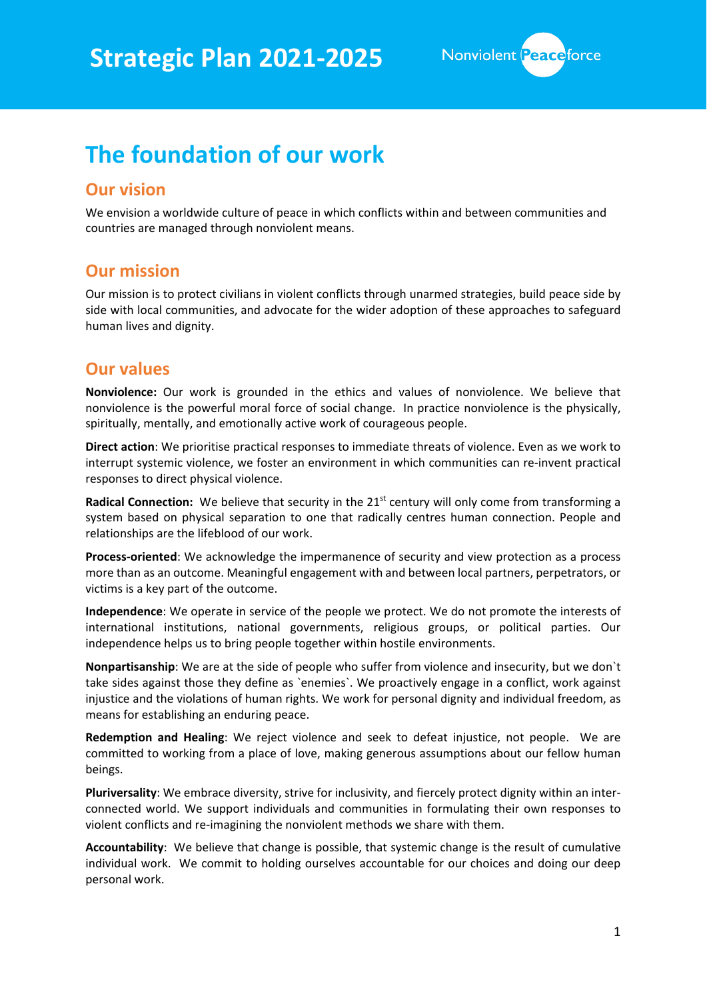

# **The foundation of our work**

## **Our vision**

We envision a worldwide culture of peace in which conflicts within and between communities and countries are managed through nonviolent means.

# **Our mission**

Our mission is to protect civilians in violent conflicts through unarmed strategies, build peace side by side with local communities, and advocate for the wider adoption of these approaches to safeguard human lives and dignity.

## **Our values**

**Nonviolence:** Our work is grounded in the ethics and values of nonviolence. We believe that nonviolence is the powerful moral force of social change. In practice nonviolence is the physically, spiritually, mentally, and emotionally active work of courageous people.

**Direct action**: We prioritise practical responses to immediate threats of violence. Even as we work to interrupt systemic violence, we foster an environment in which communities can re-invent practical responses to direct physical violence.

**Radical Connection:** We believe that security in the 21<sup>st</sup> century will only come from transforming a system based on physical separation to one that radically centres human connection. People and relationships are the lifeblood of our work.

**Process-oriented**: We acknowledge the impermanence of security and view protection as a process more than as an outcome. Meaningful engagement with and between local partners, perpetrators, or victims is a key part of the outcome.

**Independence**: We operate in service of the people we protect. We do not promote the interests of international institutions, national governments, religious groups, or political parties. Our independence helps us to bring people together within hostile environments.

**Nonpartisanship**: We are at the side of people who suffer from violence and insecurity, but we don`t take sides against those they define as `enemies`. We proactively engage in a conflict, work against injustice and the violations of human rights. We work for personal dignity and individual freedom, as means for establishing an enduring peace.

**Redemption and Healing**: We reject violence and seek to defeat injustice, not people. We are committed to working from a place of love, making generous assumptions about our fellow human beings.

**Pluriversality**: We embrace diversity, strive for inclusivity, and fiercely protect dignity within an interconnected world. We support individuals and communities in formulating their own responses to violent conflicts and re-imagining the nonviolent methods we share with them.

**Accountability**: We believe that change is possible, that systemic change is the result of cumulative individual work. We commit to holding ourselves accountable for our choices and doing our deep personal work.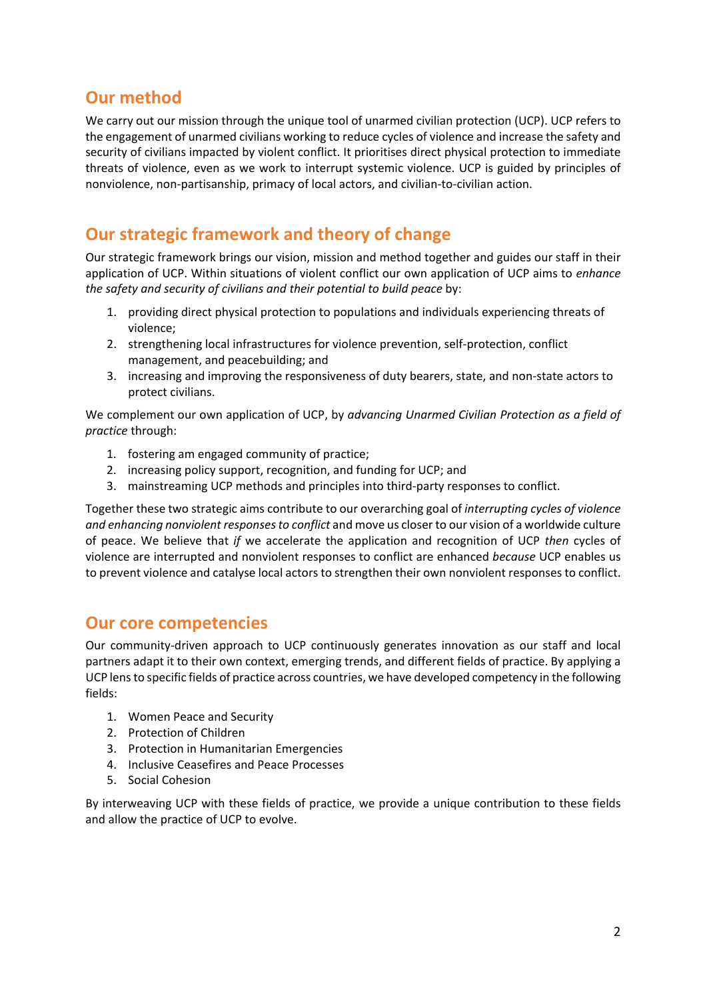# **Our method**

We carry out our mission through the unique tool of unarmed civilian protection (UCP). UCP refers to the engagement of unarmed civilians working to reduce cycles of violence and increase the safety and security of civilians impacted by violent conflict. It prioritises direct physical protection to immediate threats of violence, even as we work to interrupt systemic violence. UCP is guided by principles of nonviolence, non-partisanship, primacy of local actors, and civilian-to-civilian action.

# **Our strategic framework and theory of change**

Our strategic framework brings our vision, mission and method together and guides our staff in their application of UCP. Within situations of violent conflict our own application of UCP aims to *enhance the safety and security of civilians and their potential to build peace* by:

- 1. providing direct physical protection to populations and individuals experiencing threats of violence;
- 2. strengthening local infrastructures for violence prevention, self-protection, conflict management, and peacebuilding; and
- 3. increasing and improving the responsiveness of duty bearers, state, and non-state actors to protect civilians.

We complement our own application of UCP, by *advancing Unarmed Civilian Protection as a field of practice* through:

- 1. fostering am engaged community of practice;
- 2. increasing policy support, recognition, and funding for UCP; and
- 3. mainstreaming UCP methods and principles into third-party responses to conflict.

Together these two strategic aims contribute to our overarching goal of *interrupting cycles of violence and enhancing nonviolent responses to conflict* and move us closer to our vision of a worldwide culture of peace. We believe that *if* we accelerate the application and recognition of UCP *then* cycles of violence are interrupted and nonviolent responses to conflict are enhanced *because* UCP enables us to prevent violence and catalyse local actors to strengthen their own nonviolent responses to conflict.

## **Our core competencies**

Our community-driven approach to UCP continuously generates innovation as our staff and local partners adapt it to their own context, emerging trends, and different fields of practice. By applying a UCP lens to specific fields of practice across countries, we have developed competency in the following fields:

- 1. Women Peace and Security
- 2. Protection of Children
- 3. Protection in Humanitarian Emergencies
- 4. Inclusive Ceasefires and Peace Processes
- 5. Social Cohesion

By interweaving UCP with these fields of practice, we provide a unique contribution to these fields and allow the practice of UCP to evolve.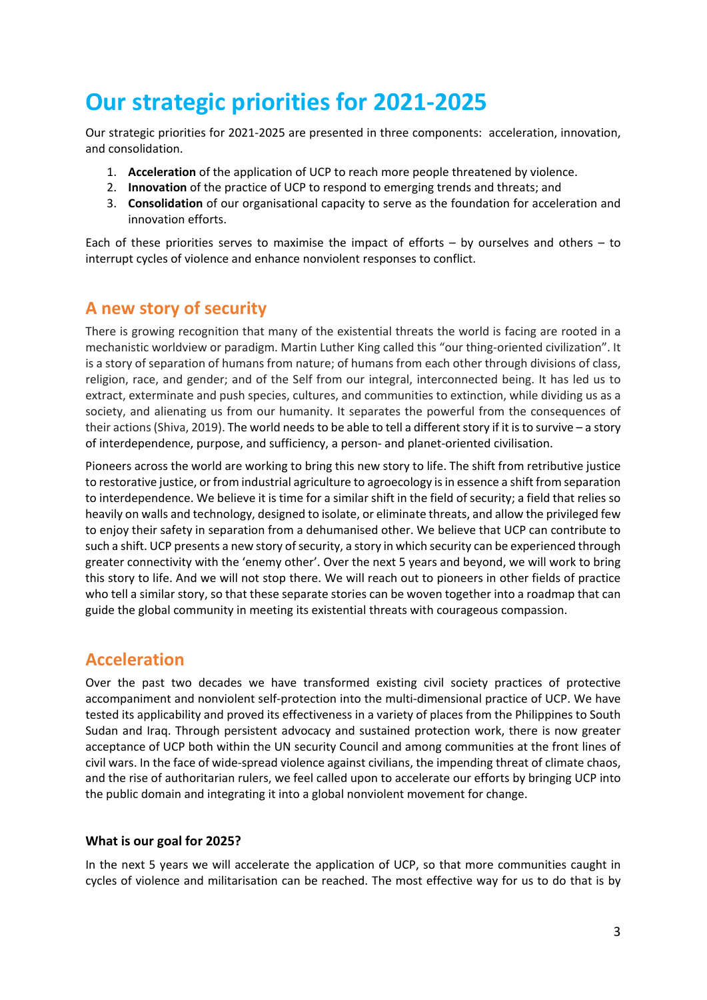# **Our strategic priorities for 2021-2025**

Our strategic priorities for 2021-2025 are presented in three components: acceleration, innovation, and consolidation.

- 1. **Acceleration** of the application of UCP to reach more people threatened by violence.
- 2. **Innovation** of the practice of UCP to respond to emerging trends and threats; and
- 3. **Consolidation** of our organisational capacity to serve as the foundation for acceleration and innovation efforts.

Each of these priorities serves to maximise the impact of efforts – by ourselves and others – to interrupt cycles of violence and enhance nonviolent responses to conflict.

# **A new story of security**

There is growing recognition that many of the existential threats the world is facing are rooted in a mechanistic worldview or paradigm. Martin Luther King called this "our thing-oriented civilization". It is a story of separation of humans from nature; of humans from each other through divisions of class, religion, race, and gender; and of the Self from our integral, interconnected being. It has led us to extract, exterminate and push species, cultures, and communities to extinction, while dividing us as a society, and alienating us from our humanity. It separates the powerful from the consequences of their actions (Shiva, 2019). The world needs to be able to tell a different story if it is to survive – a story of interdependence, purpose, and sufficiency, a person- and planet-oriented civilisation.

Pioneers across the world are working to bring this new story to life. The shift from retributive justice to restorative justice, or from industrial agriculture to agroecology is in essence a shift from separation to interdependence. We believe it is time for a similar shift in the field of security; a field that relies so heavily on walls and technology, designed to isolate, or eliminate threats, and allow the privileged few to enjoy their safety in separation from a dehumanised other. We believe that UCP can contribute to such a shift. UCP presents a new story of security, a story in which security can be experienced through greater connectivity with the 'enemy other'. Over the next 5 years and beyond, we will work to bring this story to life. And we will not stop there. We will reach out to pioneers in other fields of practice who tell a similar story, so that these separate stories can be woven together into a roadmap that can guide the global community in meeting its existential threats with courageous compassion.

## **Acceleration**

Over the past two decades we have transformed existing civil society practices of protective accompaniment and nonviolent self-protection into the multi-dimensional practice of UCP. We have tested its applicability and proved its effectiveness in a variety of places from the Philippines to South Sudan and Iraq. Through persistent advocacy and sustained protection work, there is now greater acceptance of UCP both within the UN security Council and among communities at the front lines of civil wars. In the face of wide-spread violence against civilians, the impending threat of climate chaos, and the rise of authoritarian rulers, we feel called upon to accelerate our efforts by bringing UCP into the public domain and integrating it into a global nonviolent movement for change.

### **What is our goal for 2025?**

In the next 5 years we will accelerate the application of UCP, so that more communities caught in cycles of violence and militarisation can be reached. The most effective way for us to do that is by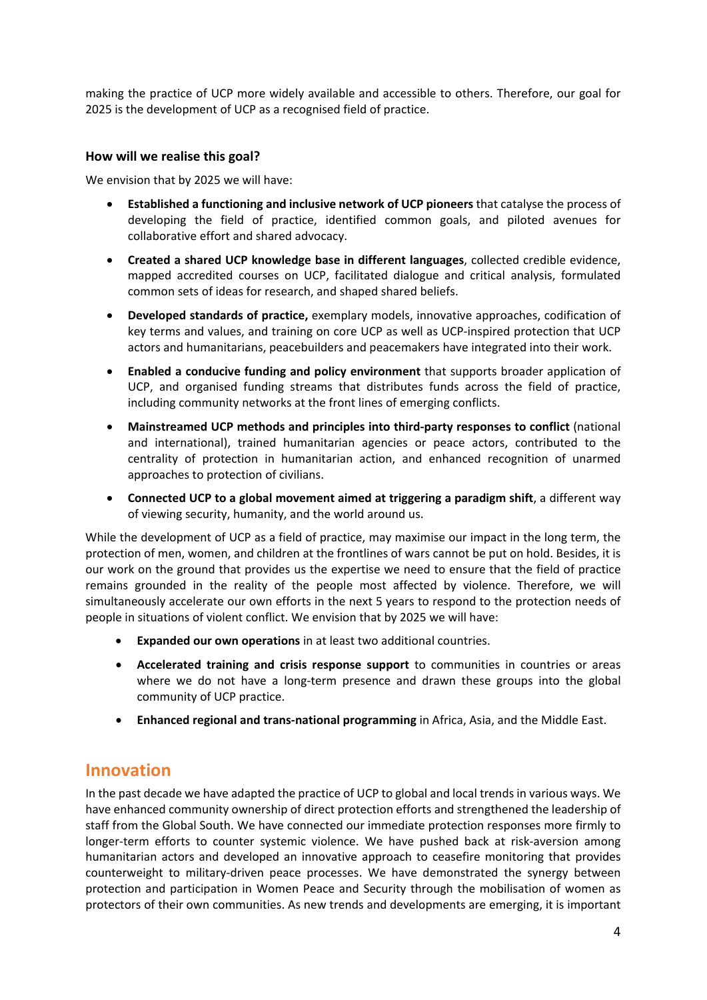making the practice of UCP more widely available and accessible to others. Therefore, our goal for 2025 is the development of UCP as a recognised field of practice.

### **How will we realise this goal?**

We envision that by 2025 we will have:

- **Established a functioning and inclusive network of UCP pioneers** that catalyse the process of developing the field of practice, identified common goals, and piloted avenues for collaborative effort and shared advocacy.
- **Created a shared UCP knowledge base in different languages**, collected credible evidence, mapped accredited courses on UCP, facilitated dialogue and critical analysis, formulated common sets of ideas for research, and shaped shared beliefs.
- **Developed standards of practice,** exemplary models, innovative approaches, codification of key terms and values, and training on core UCP as well as UCP-inspired protection that UCP actors and humanitarians, peacebuilders and peacemakers have integrated into their work.
- **Enabled a conducive funding and policy environment** that supports broader application of UCP, and organised funding streams that distributes funds across the field of practice, including community networks at the front lines of emerging conflicts.
- **Mainstreamed UCP methods and principles into third-party responses to conflict** (national and international), trained humanitarian agencies or peace actors, contributed to the centrality of protection in humanitarian action, and enhanced recognition of unarmed approaches to protection of civilians.
- **Connected UCP to a global movement aimed at triggering a paradigm shift**, a different way of viewing security, humanity, and the world around us.

While the development of UCP as a field of practice, may maximise our impact in the long term, the protection of men, women, and children at the frontlines of wars cannot be put on hold. Besides, it is our work on the ground that provides us the expertise we need to ensure that the field of practice remains grounded in the reality of the people most affected by violence. Therefore, we will simultaneously accelerate our own efforts in the next 5 years to respond to the protection needs of people in situations of violent conflict. We envision that by 2025 we will have:

- **Expanded our own operations** in at least two additional countries.
- **Accelerated training and crisis response support** to communities in countries or areas where we do not have a long-term presence and drawn these groups into the global community of UCP practice.
- **Enhanced regional and trans-national programming** in Africa, Asia, and the Middle East.

## **Innovation**

In the past decade we have adapted the practice of UCP to global and local trends in various ways. We have enhanced community ownership of direct protection efforts and strengthened the leadership of staff from the Global South. We have connected our immediate protection responses more firmly to longer-term efforts to counter systemic violence. We have pushed back at risk-aversion among humanitarian actors and developed an innovative approach to ceasefire monitoring that provides counterweight to military-driven peace processes. We have demonstrated the synergy between protection and participation in Women Peace and Security through the mobilisation of women as protectors of their own communities. As new trends and developments are emerging, it is important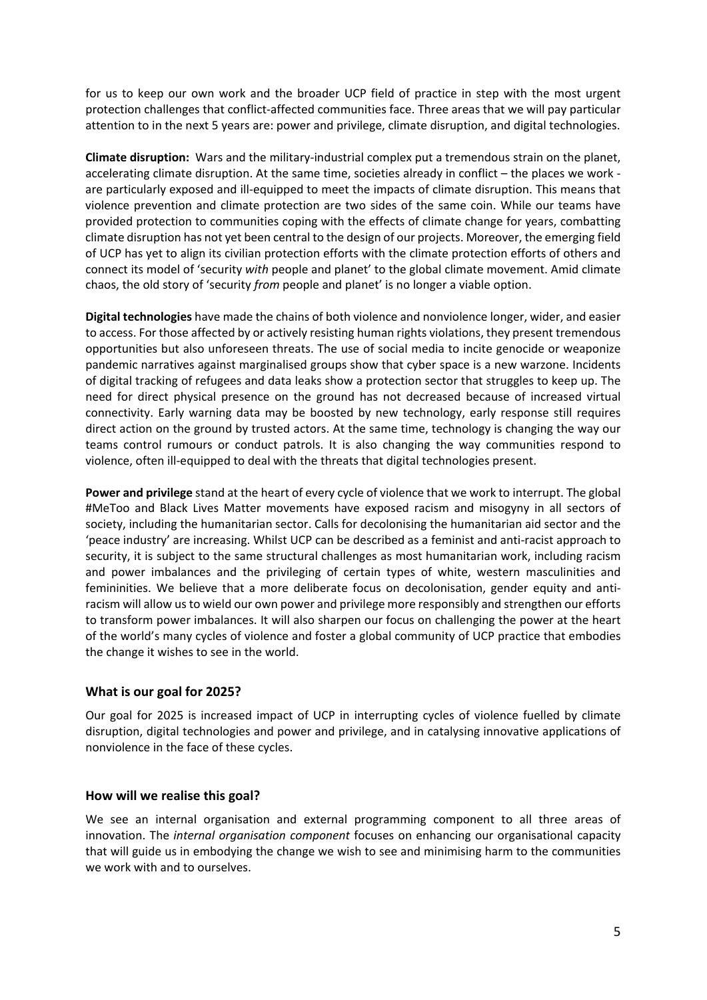for us to keep our own work and the broader UCP field of practice in step with the most urgent protection challenges that conflict-affected communities face. Three areas that we will pay particular attention to in the next 5 years are: power and privilege, climate disruption, and digital technologies.

**Climate disruption:** Wars and the military-industrial complex put a tremendous strain on the planet, accelerating climate disruption. At the same time, societies already in conflict – the places we work are particularly exposed and ill-equipped to meet the impacts of climate disruption. This means that violence prevention and climate protection are two sides of the same coin. While our teams have provided protection to communities coping with the effects of climate change for years, combatting climate disruption has not yet been central to the design of our projects. Moreover, the emerging field of UCP has yet to align its civilian protection efforts with the climate protection efforts of others and connect its model of 'security *with* people and planet' to the global climate movement. Amid climate chaos, the old story of 'security *from* people and planet' is no longer a viable option.

**Digital technologies** have made the chains of both violence and nonviolence longer, wider, and easier to access. For those affected by or actively resisting human rights violations, they present tremendous opportunities but also unforeseen threats. The use of social media to incite genocide or weaponize pandemic narratives against marginalised groups show that cyber space is a new warzone. Incidents of digital tracking of refugees and data leaks show a protection sector that struggles to keep up. The need for direct physical presence on the ground has not decreased because of increased virtual connectivity. Early warning data may be boosted by new technology, early response still requires direct action on the ground by trusted actors. At the same time, technology is changing the way our teams control rumours or conduct patrols. It is also changing the way communities respond to violence, often ill-equipped to deal with the threats that digital technologies present.

**Power and privilege** stand at the heart of every cycle of violence that we work to interrupt. The global #MeToo and Black Lives Matter movements have exposed racism and misogyny in all sectors of society, including the humanitarian sector. Calls for decolonising the humanitarian aid sector and the 'peace industry' are increasing. Whilst UCP can be described as a feminist and anti-racist approach to security, it is subject to the same structural challenges as most humanitarian work, including racism and power imbalances and the privileging of certain types of white, western masculinities and femininities. We believe that a more deliberate focus on decolonisation, gender equity and antiracism will allow us to wield our own power and privilege more responsibly and strengthen our efforts to transform power imbalances. It will also sharpen our focus on challenging the power at the heart of the world's many cycles of violence and foster a global community of UCP practice that embodies the change it wishes to see in the world.

### **What is our goal for 2025?**

Our goal for 2025 is increased impact of UCP in interrupting cycles of violence fuelled by climate disruption, digital technologies and power and privilege, and in catalysing innovative applications of nonviolence in the face of these cycles.

### **How will we realise this goal?**

We see an internal organisation and external programming component to all three areas of innovation. The *internal organisation component* focuses on enhancing our organisational capacity that will guide us in embodying the change we wish to see and minimising harm to the communities we work with and to ourselves.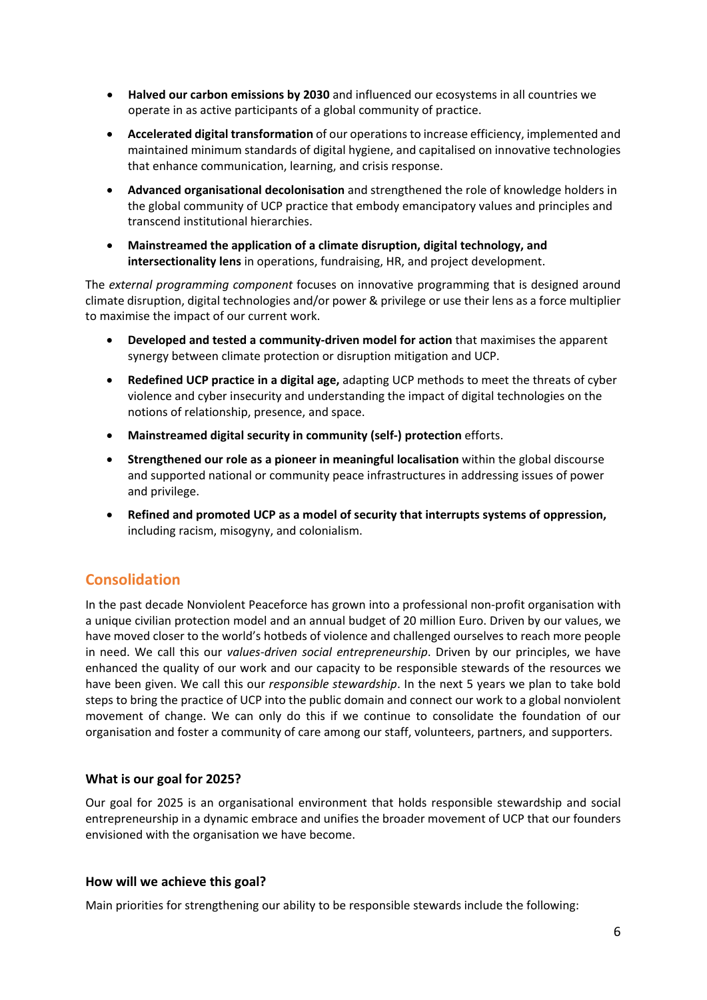- **Halved our carbon emissions by 2030** and influenced our ecosystems in all countries we operate in as active participants of a global community of practice.
- **Accelerated digital transformation** of our operations to increase efficiency, implemented and maintained minimum standards of digital hygiene, and capitalised on innovative technologies that enhance communication, learning, and crisis response.
- **Advanced organisational decolonisation** and strengthened the role of knowledge holders in the global community of UCP practice that embody emancipatory values and principles and transcend institutional hierarchies.
- **Mainstreamed the application of a climate disruption, digital technology, and intersectionality lens** in operations, fundraising, HR, and project development.

The *external programming component* focuses on innovative programming that is designed around climate disruption, digital technologies and/or power & privilege or use their lens as a force multiplier to maximise the impact of our current work.

- **Developed and tested a community-driven model for action** that maximises the apparent synergy between climate protection or disruption mitigation and UCP.
- **Redefined UCP practice in a digital age,** adapting UCP methods to meet the threats of cyber violence and cyber insecurity and understanding the impact of digital technologies on the notions of relationship, presence, and space.
- **Mainstreamed digital security in community (self-) protection** efforts.
- **Strengthened our role as a pioneer in meaningful localisation** within the global discourse and supported national or community peace infrastructures in addressing issues of power and privilege.
- **Refined and promoted UCP as a model of security that interrupts systems of oppression,**  including racism, misogyny, and colonialism.

## **Consolidation**

In the past decade Nonviolent Peaceforce has grown into a professional non-profit organisation with a unique civilian protection model and an annual budget of 20 million Euro. Driven by our values, we have moved closer to the world's hotbeds of violence and challenged ourselves to reach more people in need. We call this our *values-driven social entrepreneurship*. Driven by our principles, we have enhanced the quality of our work and our capacity to be responsible stewards of the resources we have been given. We call this our *responsible stewardship*. In the next 5 years we plan to take bold steps to bring the practice of UCP into the public domain and connect our work to a global nonviolent movement of change. We can only do this if we continue to consolidate the foundation of our organisation and foster a community of care among our staff, volunteers, partners, and supporters.

### **What is our goal for 2025?**

Our goal for 2025 is an organisational environment that holds responsible stewardship and social entrepreneurship in a dynamic embrace and unifies the broader movement of UCP that our founders envisioned with the organisation we have become.

### **How will we achieve this goal?**

Main priorities for strengthening our ability to be responsible stewards include the following: